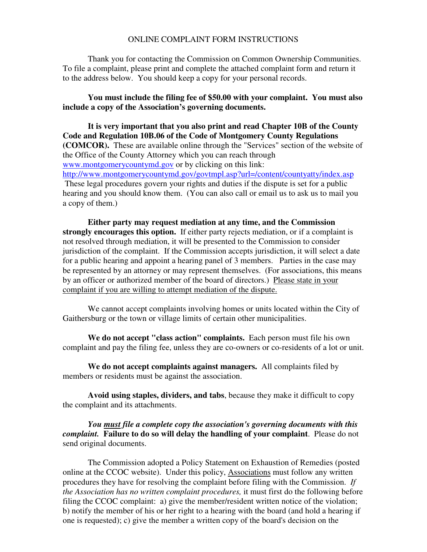#### ONLINE COMPLAINT FORM INSTRUCTIONS

 Thank you for contacting the Commission on Common Ownership Communities. To file a complaint, please print and complete the attached complaint form and return it to the address below. You should keep a copy for your personal records.

#### **You must include the filing fee of \$50.00 with your complaint. You must also include a copy of the Association's governing documents.**

**It is very important that you also print and read Chapter 10B of the County Code and Regulation 10B.06 of the Code of Montgomery County Regulations (COMCOR).** These are available online through the "Services" section of the website of the Office of the County Attorney which you can reach through www.montgomerycountymd.gov or by clicking on this link: http://www.montgomerycountymd.gov/govtmpl.asp?url=/content/countyatty/index.asp These legal procedures govern your rights and duties if the dispute is set for a public hearing and you should know them. (You can also call or email us to ask us to mail you a copy of them.)

**Either party may request mediation at any time, and the Commission strongly encourages this option.** If either party rejects mediation, or if a complaint is not resolved through mediation, it will be presented to the Commission to consider jurisdiction of the complaint. If the Commission accepts jurisdiction, it will select a date for a public hearing and appoint a hearing panel of 3 members. Parties in the case may be represented by an attorney or may represent themselves. (For associations, this means by an officer or authorized member of the board of directors.) Please state in your complaint if you are willing to attempt mediation of the dispute.

 We cannot accept complaints involving homes or units located within the City of Gaithersburg or the town or village limits of certain other municipalities.

**We do not accept "class action" complaints.** Each person must file his own complaint and pay the filing fee, unless they are co-owners or co-residents of a lot or unit.

**We do not accept complaints against managers.** All complaints filed by members or residents must be against the association.

**Avoid using staples, dividers, and tabs**, because they make it difficult to copy the complaint and its attachments.

*You must file a complete copy the association's governing documents with this complaint.* **Failure to do so will delay the handling of your complaint**. Please do not send original documents.

The Commission adopted a Policy Statement on Exhaustion of Remedies (posted online at the CCOC website). Under this policy, Associations must follow any written procedures they have for resolving the complaint before filing with the Commission. *If the Association has no written complaint procedures,* it must first do the following before filing the CCOC complaint: a) give the member/resident written notice of the violation; b) notify the member of his or her right to a hearing with the board (and hold a hearing if one is requested); c) give the member a written copy of the board's decision on the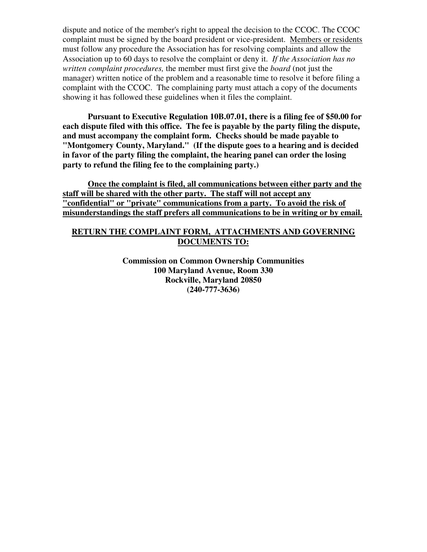dispute and notice of the member's right to appeal the decision to the CCOC. The CCOC complaint must be signed by the board president or vice-president. Members or residents must follow any procedure the Association has for resolving complaints and allow the Association up to 60 days to resolve the complaint or deny it. *If the Association has no written complaint procedures,* the member must first give the *board* (not just the manager) written notice of the problem and a reasonable time to resolve it before filing a complaint with the CCOC. The complaining party must attach a copy of the documents showing it has followed these guidelines when it files the complaint.

 **Pursuant to Executive Regulation 10B.07.01, there is a filing fee of \$50.00 for each dispute filed with this office. The fee is payable by the party filing the dispute, and must accompany the complaint form. Checks should be made payable to "Montgomery County, Maryland." (If the dispute goes to a hearing and is decided in favor of the party filing the complaint, the hearing panel can order the losing party to refund the filing fee to the complaining party.)** 

 **Once the complaint is filed, all communications between either party and the staff will be shared with the other party. The staff will not accept any "confidential" or "private" communications from a party. To avoid the risk of misunderstandings the staff prefers all communications to be in writing or by email.** 

## **RETURN THE COMPLAINT FORM, ATTACHMENTS AND GOVERNING DOCUMENTS TO:**

**Commission on Common Ownership Communities 100 Maryland Avenue, Room 330 Rockville, Maryland 20850 (240-777-3636)**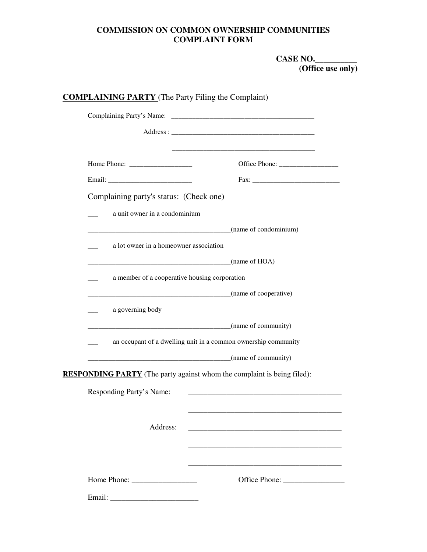# **COMMISSION ON COMMON OWNERSHIP COMMUNITIES COMPLAINT FORM**

 **CASE NO.\_\_\_\_\_\_\_\_\_\_ (Office use only)** 

| Complaining party's status: (Check one)       |                                                                                |
|-----------------------------------------------|--------------------------------------------------------------------------------|
| a unit owner in a condominium                 |                                                                                |
|                                               | $\frac{1}{2}$ (name of condominium)                                            |
| a lot owner in a homeowner association        |                                                                                |
|                                               | $\frac{1}{2}$ (name of HOA)                                                    |
| a member of a cooperative housing corporation |                                                                                |
|                                               | (name of cooperative)                                                          |
| a governing body                              |                                                                                |
|                                               | $\frac{1}{1}$ (name of community)                                              |
|                                               | an occupant of a dwelling unit in a common ownership community                 |
|                                               | $\frac{1}{2}$ (name of community)                                              |
|                                               | <b>RESPONDING PARTY</b> (The party against whom the complaint is being filed): |
| Responding Party's Name:                      |                                                                                |
|                                               |                                                                                |
| Address:                                      | <u> 1980 - Jan Barbara, martxa al II-lea (h. 1980).</u>                        |
|                                               |                                                                                |
|                                               |                                                                                |
|                                               |                                                                                |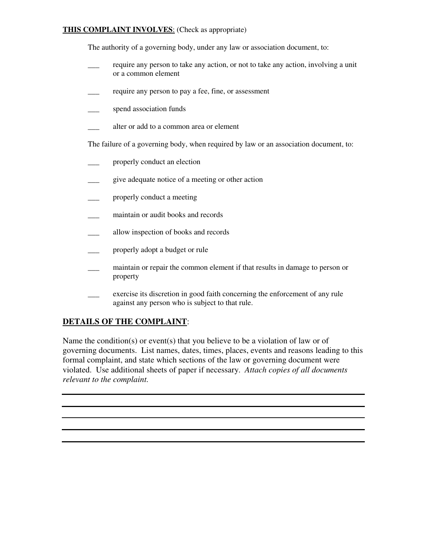### **THIS COMPLAINT INVOLVES**: (Check as appropriate)

The authority of a governing body, under any law or association document, to:

- \_\_\_ require any person to take any action, or not to take any action, involving a unit or a common element
- \_\_\_ require any person to pay a fee, fine, or assessment
- spend association funds
- alter or add to a common area or element

The failure of a governing body, when required by law or an association document, to:

- properly conduct an election
- \_\_\_ give adequate notice of a meeting or other action
- properly conduct a meeting
- maintain or audit books and records
- \_\_\_ allow inspection of books and records
- properly adopt a budget or rule
- \_\_\_ maintain or repair the common element if that results in damage to person or property
- exercise its discretion in good faith concerning the enforcement of any rule against any person who is subject to that rule.

# **DETAILS OF THE COMPLAINT**:

Name the condition(s) or event(s) that you believe to be a violation of law or of governing documents. List names, dates, times, places, events and reasons leading to this formal complaint, and state which sections of the law or governing document were violated. Use additional sheets of paper if necessary. *Attach copies of all documents relevant to the complaint.*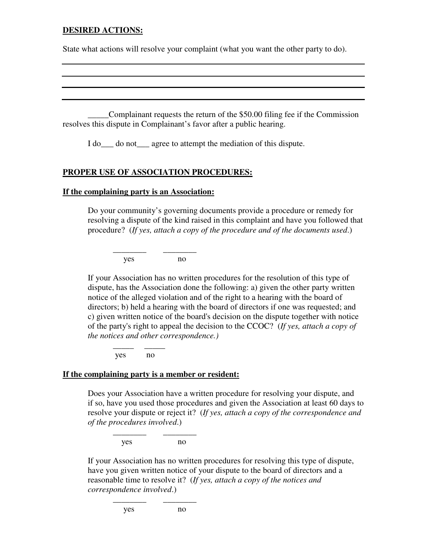### **DESIRED ACTIONS:**

State what actions will resolve your complaint (what you want the other party to do).

 \_\_\_\_\_Complainant requests the return of the \$50.00 filing fee if the Commission resolves this dispute in Complainant's favor after a public hearing.

I do\_\_\_ do not\_\_\_ agree to attempt the mediation of this dispute.

### **PROPER USE OF ASSOCIATION PROCEDURES:**

#### **If the complaining party is an Association:**

Do your community's governing documents provide a procedure or remedy for resolving a dispute of the kind raised in this complaint and have you followed that procedure? (*If yes, attach a copy of the procedure and of the documents used*.)

 $\frac{1}{2}$  ,  $\frac{1}{2}$  ,  $\frac{1}{2}$  ,  $\frac{1}{2}$  ,  $\frac{1}{2}$  ,  $\frac{1}{2}$  ,  $\frac{1}{2}$  ,  $\frac{1}{2}$  ,  $\frac{1}{2}$  ,  $\frac{1}{2}$  ,  $\frac{1}{2}$  ,  $\frac{1}{2}$  ,  $\frac{1}{2}$  ,  $\frac{1}{2}$  ,  $\frac{1}{2}$  ,  $\frac{1}{2}$  ,  $\frac{1}{2}$  ,  $\frac{1}{2}$  ,  $\frac{1$ yes no

If your Association has no written procedures for the resolution of this type of dispute, has the Association done the following: a) given the other party written notice of the alleged violation and of the right to a hearing with the board of directors; b) held a hearing with the board of directors if one was requested; and c) given written notice of the board's decision on the dispute together with notice of the party's right to appeal the decision to the CCOC? (*If yes, attach a copy of the notices and other correspondence.)* 

yes no

 $\frac{1}{2}$  ,  $\frac{1}{2}$  ,  $\frac{1}{2}$  ,  $\frac{1}{2}$  ,  $\frac{1}{2}$  ,  $\frac{1}{2}$  ,  $\frac{1}{2}$ 

#### **If the complaining party is a member or resident:**

 Does your Association have a written procedure for resolving your dispute, and if so, have you used those procedures and given the Association at least 60 days to resolve your dispute or reject it? (*If yes, attach a copy of the correspondence and of the procedures involved*.)

yes no

\_\_\_\_\_\_\_\_ \_\_\_\_\_\_\_\_

\_\_\_\_\_\_\_\_ \_\_\_\_\_\_\_\_

If your Association has no written procedures for resolving this type of dispute, have you given written notice of your dispute to the board of directors and a reasonable time to resolve it? (*If yes, attach a copy of the notices and correspondence involved*.)

yes no